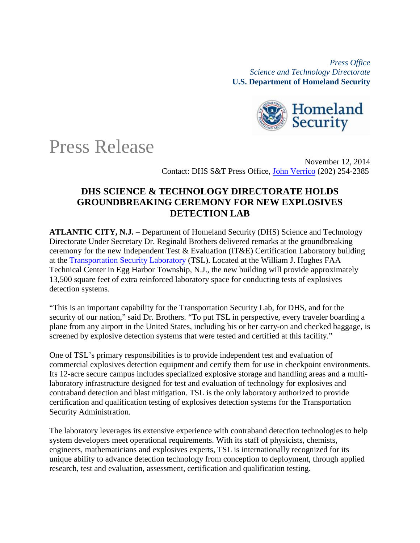*Press Office Science and Technology Directorate*  **U.S. Department of Homeland Security**



## Press Release

November 12, 2014 Contact: DHS S&T Press Office, [John Verrico](mailto:john.verrico@hq.dhs.gov) (202) 254-2385

## **DHS SCIENCE & TECHNOLOGY DIRECTORATE HOLDS GROUNDBREAKING CEREMONY FOR NEW EXPLOSIVES DETECTION LAB**

**ATLANTIC CITY, N.J.** – Department of Homeland Security (DHS) Science and Technology Directorate Under Secretary Dr. Reginald Brothers delivered remarks at the groundbreaking ceremony for the new Independent Test & Evaluation (IT&E) Certification Laboratory building at the [Transportation Security Laboratory](http://www.dhs.gov/transportation-security-laboratory) (TSL). Located at the William J. Hughes FAA Technical Center in Egg Harbor Township, N.J., the new building will provide approximately 13,500 square feet of extra reinforced laboratory space for conducting tests of explosives detection systems.

"This is an important capability for the Transportation Security Lab, for DHS, and for the security of our nation," said Dr. Brothers. "To put TSL in perspective, every traveler boarding a plane from any airport in the United States, including his or her carry-on and checked baggage, is screened by explosive detection systems that were tested and certified at this facility."

One of TSL's primary responsibilities is to provide independent test and evaluation of commercial explosives detection equipment and certify them for use in checkpoint environments. Its 12-acre secure campus includes specialized explosive storage and handling areas and a multilaboratory infrastructure designed for test and evaluation of technology for explosives and contraband detection and blast mitigation. TSL is the only laboratory authorized to provide certification and qualification testing of explosives detection systems for the Transportation Security Administration.

The laboratory leverages its extensive experience with contraband detection technologies to help system developers meet operational requirements. With its staff of physicists, chemists, engineers, mathematicians and explosives experts, TSL is internationally recognized for its unique ability to advance detection technology from conception to deployment, through applied research, test and evaluation, assessment, certification and qualification testing.